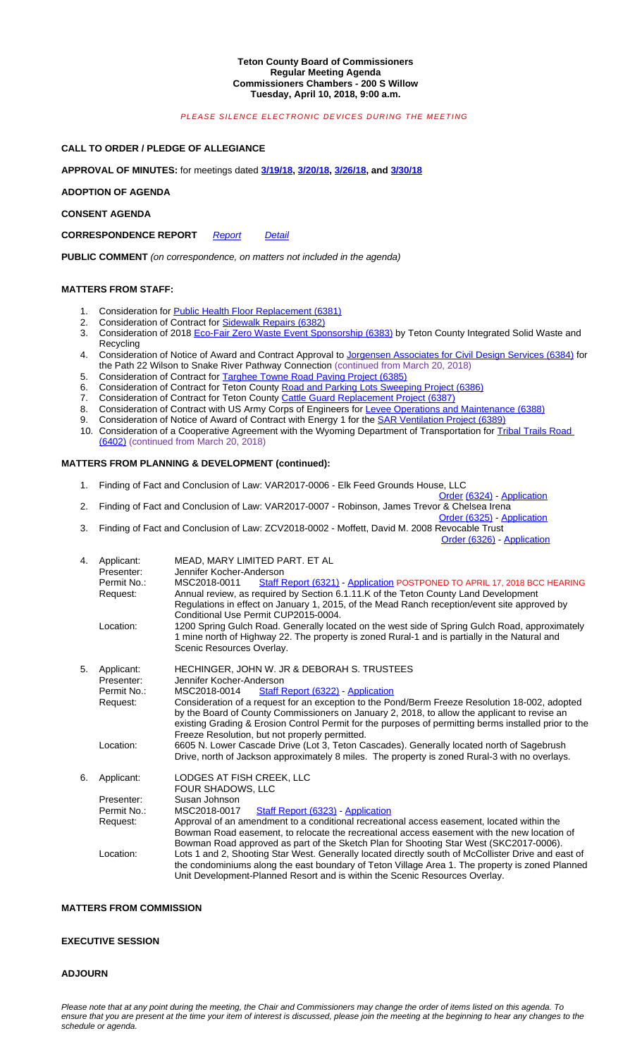**PUBLIC COMMENT** *(on correspondence, on matters not included in the agenda)*

# **MATTERS FROM STAFF:**

- 1. Consideration for **Public Health Floor Replacement (6381)**
- 2. Consideration of Contract for Sidewalk Repairs (6382)
- 3. Consideration of 2018 Eco-Fair Zero Waste Event Sponsorship (6383) by Teton County Integrated Solid Waste and **Recycling**
- 4. Consideration of Notice of Award and Contract Approval to Jorgensen Associates for Civil Design Services (6384) for the Path 22 Wilson to Snake River Pathway Connection (continued from March 20, 2018)
- 5. Consideration of Contract for Targhee Towne Road Paving Project (6385)
- 6. Consideration of Contract for Teton County Road and Parking Lots Sweeping Project (6386)<br>7. Consideration of Contract for Teton County Cattle Guard Replacement Project (6387)
- 7. Consideration of Contract for Teton C[ounty Ca](http://www.tetoncountywy.gov/DocumentCenter/View/6391)t[tle Guar](http://www.tetoncountywy.gov/DocumentCenter/View/6392)[d Replac](http://www.tetoncountywy.gov/DocumentCenter/View/6393)emen[t Projec](http://www.tetoncountywy.gov/DocumentCenter/View/6394)t (6387)
- 8. Consideration of Contract with US Army Corps of Engineers for Levee Operations and Maintenance (6388)
- 9. Consideration of Notice of Award of Contract with Energy 1 for the **SAR Ventilation Project (6389)**
- 10. Consideration of a Cooperative Agreement with the Wyoming Department of Transportation for Tribal Trails Road (6402) (continued from March 20, 2018)

#### **MATTERS FROM PLANNING & D[EVELOP](http://www.tetoncountywy.gov/DocumentCenter/View/6390)ME[NT \(co](http://www.tetoncountywy.gov/DocumentCenter/View/6395)ntinued):**

- 1. Finding of Fact and Conclusion of Law: VAR2017-0006 Elk Feed Grounds House, LLC
- Order (6324) Application
- 2. Finding of Fact and Conclusion of Law: VAR2017-0007 Robinson, James Trevor & Chelsea Irena Order (6325) - Application
- 3. Finding of Fact a[nd Conclusion of Law: ZCV2018-0002 M](http://www.tetoncountywy.gov/DocumentCenter/View/6381)offett, David M. 2008 Revocable Trust

Order (6326) - Application

| 4. | Applicant:<br>Presenter:<br>Permit No.:<br>Request:<br>Location: | MEAD, MARY LIMITED PART. ET AL<br>Jennifer Kocher-Anderson<br>MSC2018-0011<br>Staff Report (6321) - Application POSTPONED TO APRIL 17, 2018 BCC HEARING<br>Annual review, as required by Section 6.1.11.K of the Teton County Land Development<br>Regulations in effect on January 1, 2015, of the Mead Ranch reception/event site approved by<br>Conditional Use Permit CUP2015-0004.<br>1200 Spring Gulch Road. Generally located on the west side of Spring Gulch Road, approximately<br>1 mine north of Highway 22. The property is zoned Rural-1 and is partially in the Natural and<br>Scenic Resources Overlay.                                                                                                                                                                                 |
|----|------------------------------------------------------------------|--------------------------------------------------------------------------------------------------------------------------------------------------------------------------------------------------------------------------------------------------------------------------------------------------------------------------------------------------------------------------------------------------------------------------------------------------------------------------------------------------------------------------------------------------------------------------------------------------------------------------------------------------------------------------------------------------------------------------------------------------------------------------------------------------------|
| 5. | Applicant:<br>Presenter:<br>Permit No.:<br>Request:<br>Location: | HECHINGER, JOHN W. JR & DEBORAH S. TRUSTEES<br>Jennifer Kocher-Anderson<br>Staff Report (6322) - Application<br>MSC2018-0014<br>Consideration of a request for an exception to the Pond/Berm Freeze Resolution 18-002, adopted<br>by the Board of County Commissioners on January 2, 2018, to allow the applicant to revise an<br>existing Grading & Erosion Control Permit for the purposes of permitting berms installed prior to the<br>Freeze Resolution, but not properly permitted.<br>6605 N. Lower Cascade Drive (Lot 3, Teton Cascades). Generally located north of Sagebrush                                                                                                                                                                                                                 |
| 6. | Applicant:<br>Presenter:<br>Permit No.:<br>Request:<br>Location: | Drive, north of Jackson approximately 8 miles. The property is zoned Rural-3 with no overlays.<br>LODGES AT FISH CREEK, LLC<br>FOUR SHADOWS, LLC<br>Susan Johnson<br>Staff Report (6323) - Application<br>MSC2018-0017<br>Approval of an amendment to a conditional recreational access easement, located within the<br>Bowman Road easement, to relocate the recreational access easement with the new location of<br>Bowman Road approved as part of the Sketch Plan for Shooting Star West (SKC2017-0006).<br>Lots 1 and 2, Shooting Star West. Generally located directly south of McCollister Drive and east of<br>the condominiums along the east boundary of Teton Village Area 1. The property is zoned Planned<br>Unit Development-Planned Resort and is within the Scenic Resources Overlay. |

# **MATTERS FROM COMMISSION**

#### **EXECUTIVE SESSION**

# **ADJOURN**

*Please note that at any point during the meeting, the Chair and Commissioners may change the order of items listed on this agenda. To*  ensure that you are present at the time your item of interest is discussed, please join the meeting at the beginning to hear any changes to the *schedule or agenda.*